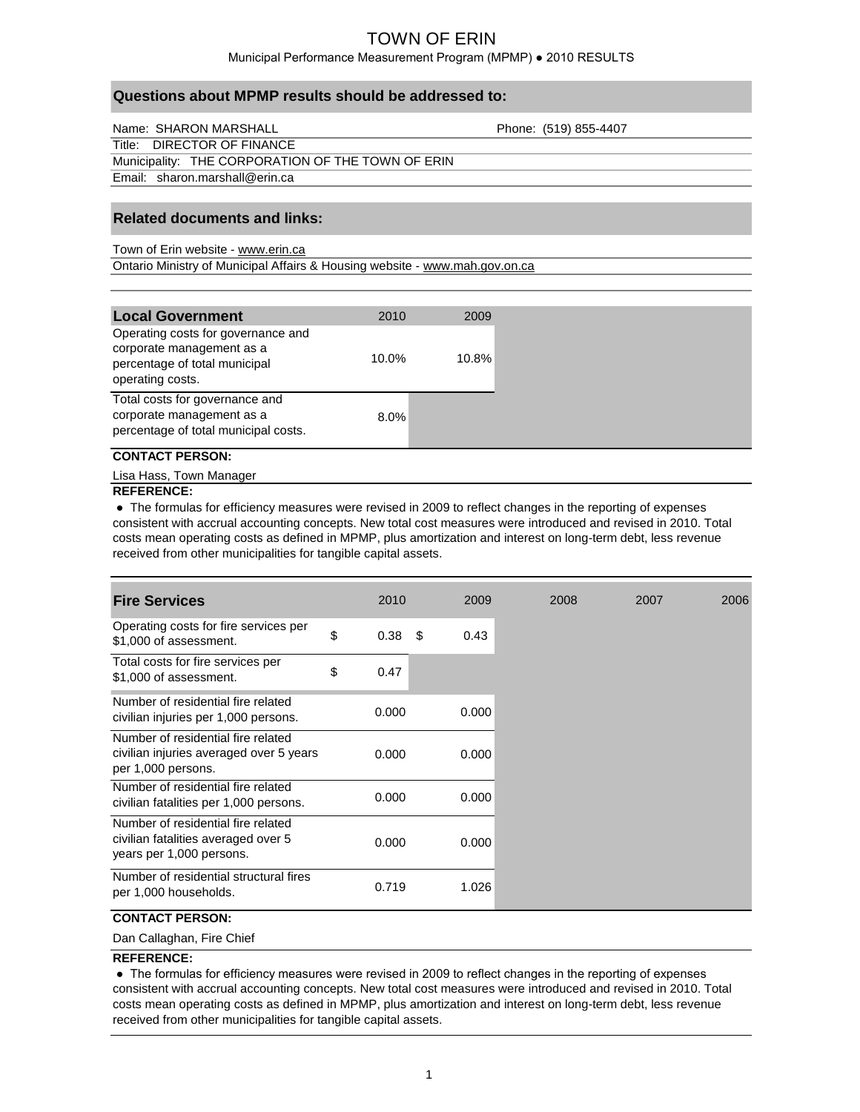## Municipal Performance Measurement Program (MPMP) ● 2010 RESULTS

| Name: SHARON MARSHALL                             | Phone: (519) 855-4407 |
|---------------------------------------------------|-----------------------|
| Title: DIRECTOR OF FINANCE                        |                       |
| Municipality: THE CORPORATION OF THE TOWN OF ERIN |                       |
| Email: sharon.marshall@erin.ca                    |                       |

## **Related documents and links:**

Ontario Ministry of Municipal Affairs & Housing website - www.mah.gov.on.ca Town of Erin website - www.erin.ca

**Questions about MPMP results should be addressed to:**

| <b>Local Government</b><br>2010                                                                                                  | 2009  |
|----------------------------------------------------------------------------------------------------------------------------------|-------|
| Operating costs for governance and<br>corporate management as a<br>$10.0\%$<br>percentage of total municipal<br>operating costs. | 10.8% |
| Total costs for governance and<br>corporate management as a<br>$8.0\%$<br>percentage of total municipal costs.                   |       |

#### **CONTACT PERSON:**

Lisa Hass, Town Manager

#### **REFERENCE:**

 **●** The formulas for efficiency measures were revised in 2009 to reflect changes in the reporting of expenses consistent with accrual accounting concepts. New total cost measures were introduced and revised in 2010. Total costs mean operating costs as defined in MPMP, plus amortization and interest on long-term debt, less revenue received from other municipalities for tangible capital assets.

| <b>Fire Services</b>                                                                                  | 2010       |      | 2009  |  |
|-------------------------------------------------------------------------------------------------------|------------|------|-------|--|
| Operating costs for fire services per<br>\$1,000 of assessment.                                       | \$<br>0.38 | - \$ | 0.43  |  |
| Total costs for fire services per<br>\$1,000 of assessment.                                           | \$<br>0.47 |      |       |  |
| Number of residential fire related<br>civilian injuries per 1,000 persons.                            | 0.000      |      | 0.000 |  |
| Number of residential fire related<br>civilian injuries averaged over 5 years<br>per 1,000 persons.   | 0.000      |      | 0.000 |  |
| Number of residential fire related<br>civilian fatalities per 1,000 persons.                          | 0.000      |      | 0.000 |  |
| Number of residential fire related<br>civilian fatalities averaged over 5<br>years per 1,000 persons. | 0.000      |      | 0.000 |  |
| Number of residential structural fires<br>per 1,000 households.                                       | 0.719      |      | 1.026 |  |

## **CONTACT PERSON:**

Dan Callaghan, Fire Chief

## **REFERENCE:**

 ● The formulas for efficiency measures were revised in 2009 to reflect changes in the reporting of expenses consistent with accrual accounting concepts. New total cost measures were introduced and revised in 2010. Total costs mean operating costs as defined in MPMP, plus amortization and interest on long-term debt, less revenue received from other municipalities for tangible capital assets.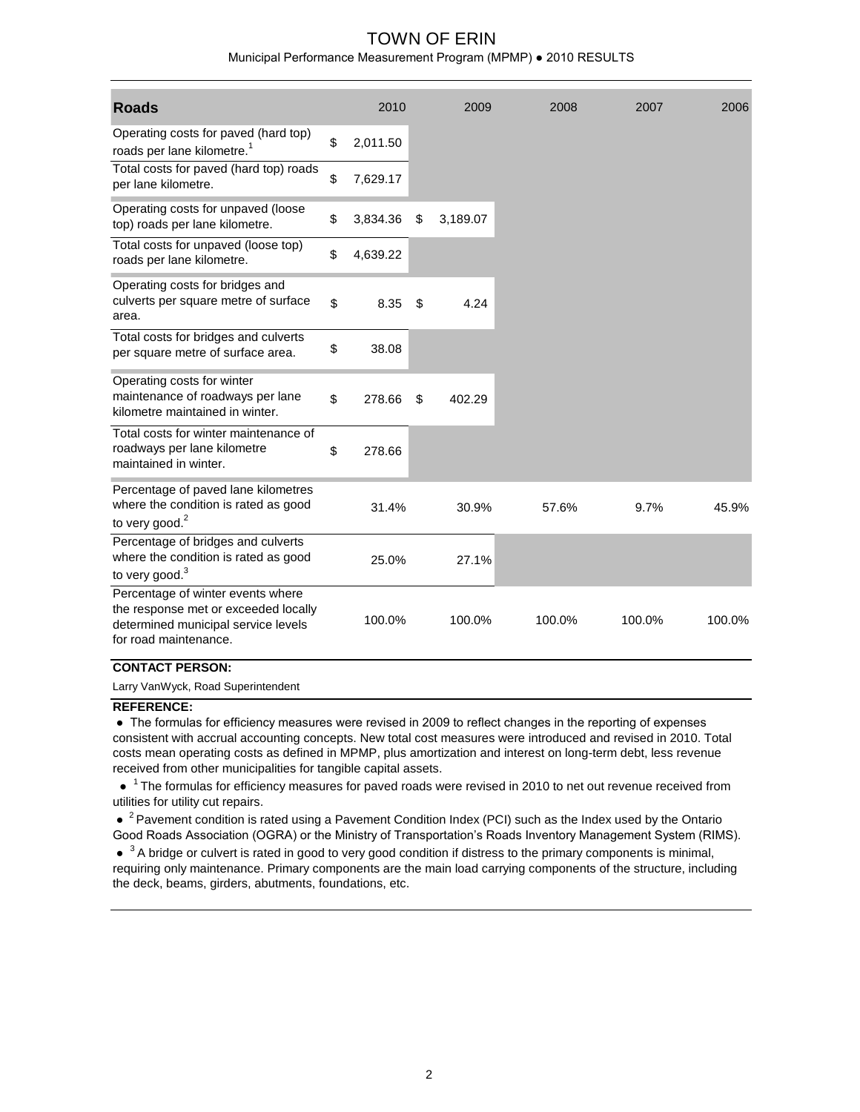#### Municipal Performance Measurement Program (MPMP) ● 2010 RESULTS

| <b>Roads</b>                                                                                                                              | 2010           | 2009           | 2008   | 2007   | 2006   |
|-------------------------------------------------------------------------------------------------------------------------------------------|----------------|----------------|--------|--------|--------|
| Operating costs for paved (hard top)<br>roads per lane kilometre. <sup>1</sup>                                                            | \$<br>2,011.50 |                |        |        |        |
| Total costs for paved (hard top) roads<br>per lane kilometre.                                                                             | \$<br>7,629.17 |                |        |        |        |
| Operating costs for unpaved (loose<br>top) roads per lane kilometre.                                                                      | \$<br>3,834.36 | \$<br>3,189.07 |        |        |        |
| Total costs for unpaved (loose top)<br>roads per lane kilometre.                                                                          | \$<br>4,639.22 |                |        |        |        |
| Operating costs for bridges and<br>culverts per square metre of surface<br>area.                                                          | \$<br>8.35     | \$<br>4.24     |        |        |        |
| Total costs for bridges and culverts<br>per square metre of surface area.                                                                 | \$<br>38.08    |                |        |        |        |
| Operating costs for winter<br>maintenance of roadways per lane<br>kilometre maintained in winter.                                         | \$<br>278.66   | \$<br>402.29   |        |        |        |
| Total costs for winter maintenance of<br>roadways per lane kilometre<br>maintained in winter.                                             | \$<br>278.66   |                |        |        |        |
| Percentage of paved lane kilometres<br>where the condition is rated as good<br>to very good. $2$                                          | 31.4%          | 30.9%          | 57.6%  | 9.7%   | 45.9%  |
| Percentage of bridges and culverts<br>where the condition is rated as good<br>to very good. <sup>3</sup>                                  | 25.0%          | 27.1%          |        |        |        |
| Percentage of winter events where<br>the response met or exceeded locally<br>determined municipal service levels<br>for road maintenance. | 100.0%         | 100.0%         | 100.0% | 100.0% | 100.0% |

#### **CONTACT PERSON:**

Larry VanWyck, Road Superintendent

#### **REFERENCE:**

 ● The formulas for efficiency measures were revised in 2009 to reflect changes in the reporting of expenses consistent with accrual accounting concepts. New total cost measures were introduced and revised in 2010. Total costs mean operating costs as defined in MPMP, plus amortization and interest on long-term debt, less revenue received from other municipalities for tangible capital assets.

 $\bullet$ <sup>1</sup> The formulas for efficiency measures for paved roads were revised in 2010 to net out revenue received from utilities for utility cut repairs.

• <sup>2</sup> Pavement condition is rated using a Pavement Condition Index (PCI) such as the Index used by the Ontario Good Roads Association (OGRA) or the Ministry of Transportation's Roads Inventory Management System (RIMS).

 $\bullet$   $3$  A bridge or culvert is rated in good to very good condition if distress to the primary components is minimal, requiring only maintenance. Primary components are the main load carrying components of the structure, including the deck, beams, girders, abutments, foundations, etc.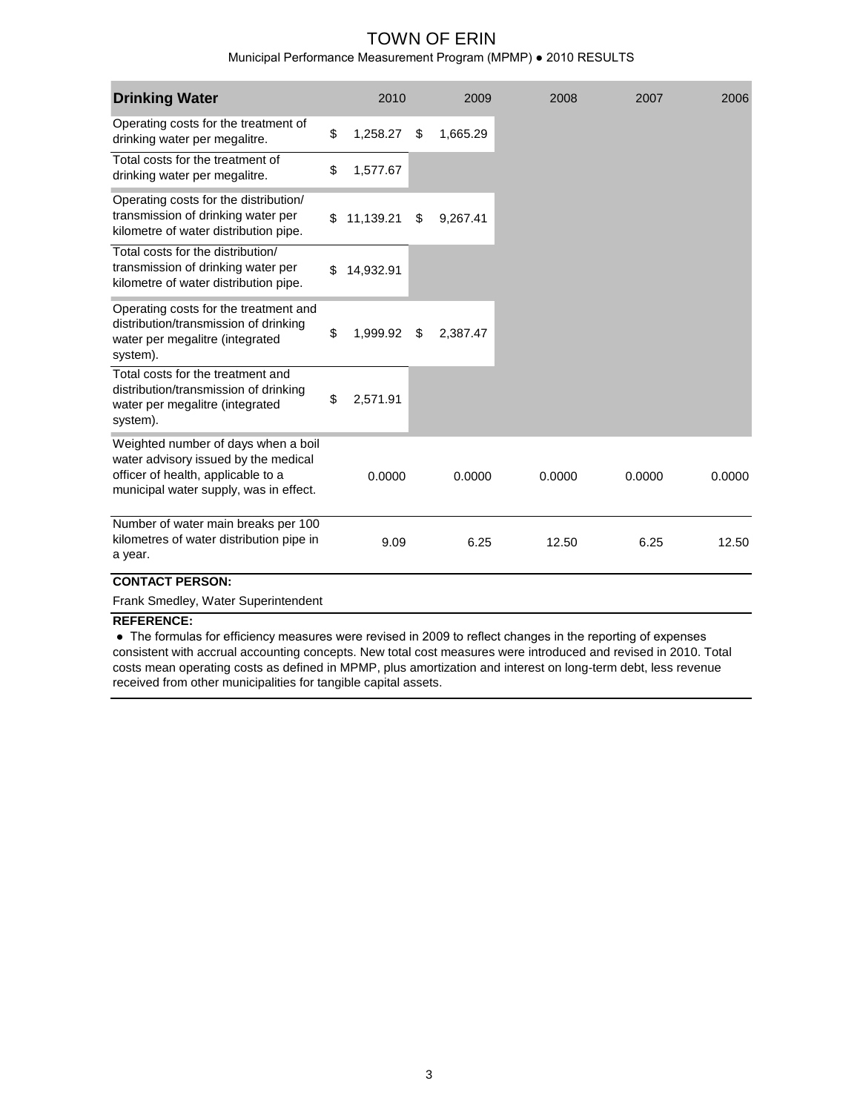Municipal Performance Measurement Program (MPMP) ● 2010 RESULTS

| <b>Drinking Water</b>                                                                                                                                       | 2010            | 2009           | 2008   | 2007   | 2006   |
|-------------------------------------------------------------------------------------------------------------------------------------------------------------|-----------------|----------------|--------|--------|--------|
| Operating costs for the treatment of<br>drinking water per megalitre.                                                                                       | \$<br>1,258.27  | \$<br>1,665.29 |        |        |        |
| Total costs for the treatment of<br>drinking water per megalitre.                                                                                           | \$<br>1,577.67  |                |        |        |        |
| Operating costs for the distribution/<br>transmission of drinking water per<br>kilometre of water distribution pipe.                                        | \$<br>11,139.21 | \$<br>9.267.41 |        |        |        |
| Total costs for the distribution/<br>transmission of drinking water per<br>kilometre of water distribution pipe.                                            | \$<br>14,932.91 |                |        |        |        |
| Operating costs for the treatment and<br>distribution/transmission of drinking<br>water per megalitre (integrated<br>system).                               | \$<br>1,999.92  | \$<br>2,387.47 |        |        |        |
| Total costs for the treatment and<br>distribution/transmission of drinking<br>water per megalitre (integrated<br>system).                                   | \$<br>2,571.91  |                |        |        |        |
| Weighted number of days when a boil<br>water advisory issued by the medical<br>officer of health, applicable to a<br>municipal water supply, was in effect. | 0.0000          | 0.0000         | 0.0000 | 0.0000 | 0.0000 |
| Number of water main breaks per 100<br>kilometres of water distribution pipe in<br>a year.<br><b>CONTACT PERSON:</b>                                        | 9.09            | 6.25           | 12.50  | 6.25   | 12.50  |
|                                                                                                                                                             |                 |                |        |        |        |

Frank Smedley, Water Superintendent

## **REFERENCE:**

 ● The formulas for efficiency measures were revised in 2009 to reflect changes in the reporting of expenses consistent with accrual accounting concepts. New total cost measures were introduced and revised in 2010. Total costs mean operating costs as defined in MPMP, plus amortization and interest on long-term debt, less revenue received from other municipalities for tangible capital assets.